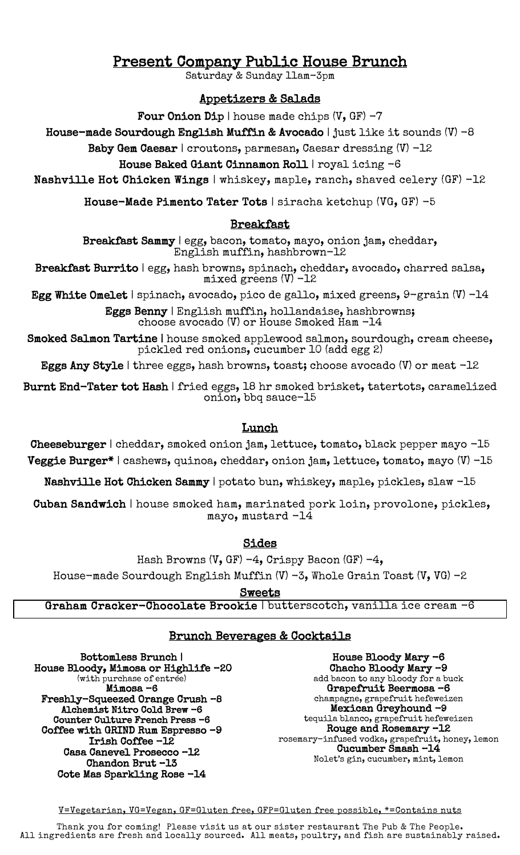# Present Company Public House Brunch<br>Saturday & Sunday 11am-3pm

## Appetizers & Salads

Four Onion Dip | house made chips  $(V, GF) - 7$ 

House-made Sourdough English Muffin & Avocado | just like it sounds  $(V)$  -8

Baby Gem Caesar | croutons, parmesan, Caesar dressing (V) -12

#### House Baked Giant Cinnamon Roll | royal icing -6

Nashville Hot Chicken Wings | whiskey, maple, ranch, shaved celery (GF) -12

House-Made Pimento Tater Tots | siracha ketchup (VG, GF) -5

### Breakfast

Breakfast Sammy | egg, bacon, tomato, mayo, onion jam, cheddar, English muffin, hashbrown-12

Breakfast Burrito | egg, hash browns, spinach, cheddar, avocado, charred salsa, mixed greens (V) -12

Egg White Omelet | spinach, avocado, pico de gallo, mixed greens,  $9$ -grain (V) -14

Eggs Benny | English muffin, hollandaise, hashbrowns; choose avocado (V) or House Smoked Ham -14

Smoked Salmon Tartine | house smoked applewood salmon, sourdough, cream cheese, pickled red onions, cucumber 10 (add egg 2)

Eggs Any Style | three eggs, hash browns, toast; choose avocado (V) or meat -12

Burnt End-Tater tot Hash | fried eggs, 18 hr smoked brisket, tatertots, caramelized onion, bbq sauce-15

#### Lunch

Cheeseburger | cheddar, smoked onion jam, lettuce, tomato, black pepper mayo -15 Veggie Burger\* | cashews, quinoa, cheddar, onion jam, lettuce, tomato, mayo (V) -15

Nashville Hot Chicken Sammy | potato bun, whiskey, maple, pickles, slaw -15

 Cuban Sandwich | house smoked ham, marinated pork loin, provolone, pickles, mayo, mustard -14

Sides

Hash Browns (V, GF)  $-4$ , Crispy Bacon (GF)  $-4$ ,

House-made Sourdough English Muffin  $(V)$  -3, Whole Grain Toast  $(V, VG)$  -2

Sweets

Graham Cracker-Chocolate Brookie | butterscotch, vanilla ice cream -6

#### Ξ Brunch Beverages & Cocktails

Bottomless Brunch | House Bloody, Mimosa or Highlife -20 (with purchase of entrée) Mimosa –6 Freshly-Squeezed Orange Crush –8 Alchemist Nitro Cold Brew -6 Counter Culture French Press -6 Coffee with GRIND Rum Espresso –9 Irish Coffee -12 Casa Canevel Prosecco –12 Chandon Brut –13 Cote Mas Sparkling Rose -14

House Bloody Mary -6 Chacho Bloody Mary –9 add bacon to any bloody for a buck Grapefruit Beermosa –6 champagne, grapefruit hefeweizen Mexican Greyhound -9 tequila blanco, grapefruit hefeweizen Rouge and Rosemary –12 rosemary-infused vodka, grapefruit, honey, lemon Cucumber Smash –14

Nolet's gin, cucumber, mint, lemon

V=Vegetarian, VG=Vegan, GF=Gluten free, GFP=Gluten free possible, \*=Contains nuts

Thank you for coming! Please visit us at our sister restaurant The Pub & The People. All ingredients are fresh and locally sourced. All meats, poultry, and fish are sustainably raised.